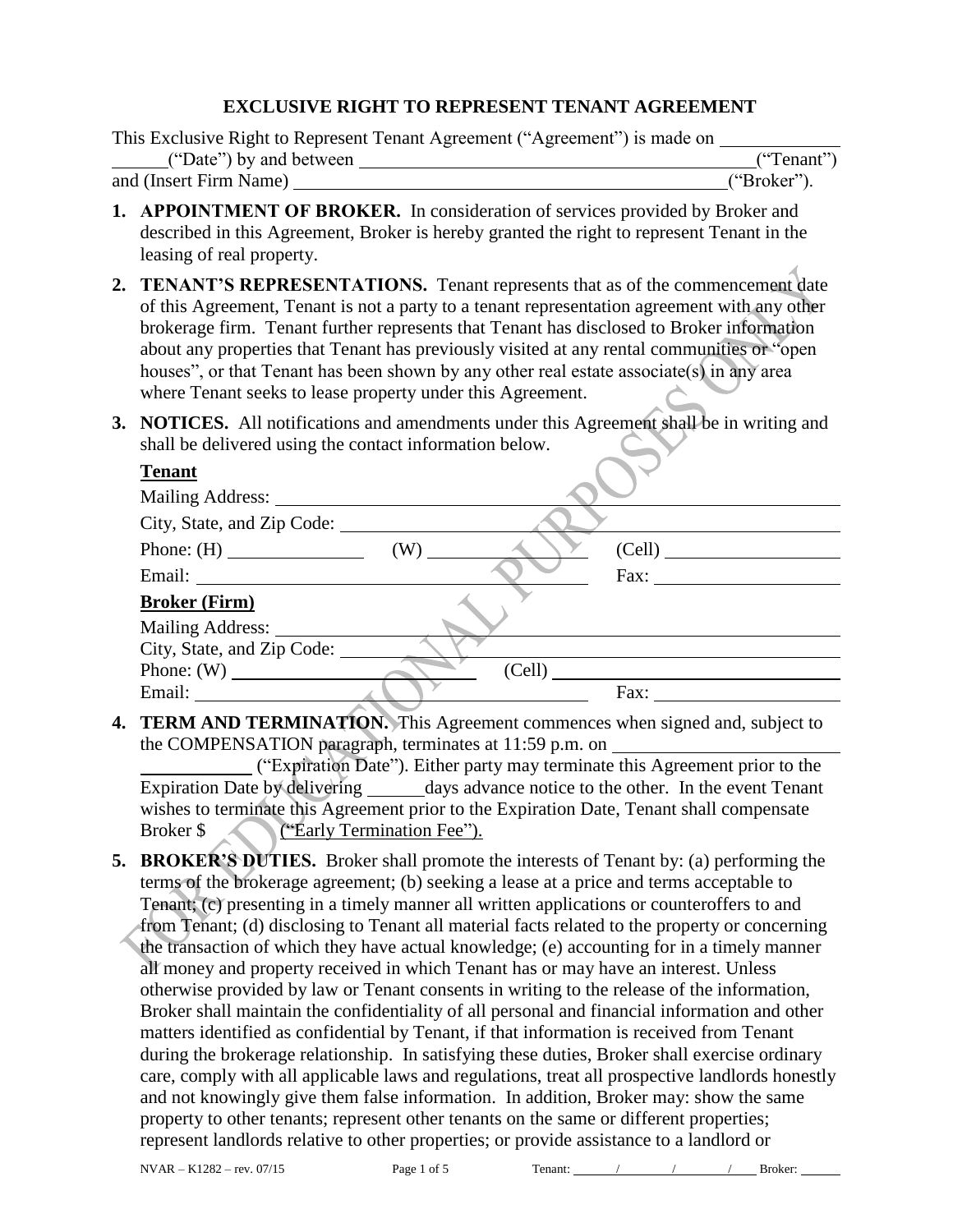### **EXCLUSIVE RIGHT TO REPRESENT TENANT AGREEMENT**

|                         | This Exclusive Right to Represent Tenant Agreement ("Agreement") is made on |             |
|-------------------------|-----------------------------------------------------------------------------|-------------|
| ("Date") by and between |                                                                             | ("Tenant")  |
| and (Insert Firm Name)  |                                                                             | ("Broker"). |

- **1. APPOINTMENT OF BROKER.** In consideration of services provided by Broker and described in this Agreement, Broker is hereby granted the right to represent Tenant in the leasing of real property.
- **2. TENANT'S REPRESENTATIONS.** Tenant represents that as of the commencement date of this Agreement, Tenant is not a party to a tenant representation agreement with any other brokerage firm. Tenant further represents that Tenant has disclosed to Broker information about any properties that Tenant has previously visited at any rental communities or "open houses", or that Tenant has been shown by any other real estate associate(s) in any area where Tenant seeks to lease property under this Agreement.
- **3. NOTICES.** All notifications and amendments under this Agreement shall be in writing and shall be delivered using the contact information below.

| <b>Tenant</b>              |  |               |  |
|----------------------------|--|---------------|--|
|                            |  |               |  |
| City, State, and Zip Code: |  |               |  |
|                            |  | (Cell)        |  |
|                            |  | $\text{Fax:}$ |  |
| <b>Broker (Firm)</b>       |  |               |  |
|                            |  |               |  |
| City, State, and Zip Code: |  |               |  |
|                            |  | (Cell)        |  |
|                            |  | Fax:          |  |

**4. TERM AND TERMINATION.** This Agreement commences when signed and, subject to the COMPENSATION paragraph, terminates at 11:59 p.m. on

("Expiration Date"). Either party may terminate this Agreement prior to the Expiration Date by delivering \_\_\_\_\_\_ days advance notice to the other. In the event Tenant wishes to terminate this Agreement prior to the Expiration Date, Tenant shall compensate Broker \$ ("Early Termination Fee").

**5. BROKER'S DUTIES.** Broker shall promote the interests of Tenant by: (a) performing the terms of the brokerage agreement; (b) seeking a lease at a price and terms acceptable to Tenant; (c) presenting in a timely manner all written applications or counteroffers to and from Tenant; (d) disclosing to Tenant all material facts related to the property or concerning the transaction of which they have actual knowledge; (e) accounting for in a timely manner all money and property received in which Tenant has or may have an interest. Unless otherwise provided by law or Tenant consents in writing to the release of the information, Broker shall maintain the confidentiality of all personal and financial information and other matters identified as confidential by Tenant, if that information is received from Tenant during the brokerage relationship. In satisfying these duties, Broker shall exercise ordinary care, comply with all applicable laws and regulations, treat all prospective landlords honestly and not knowingly give them false information. In addition, Broker may: show the same property to other tenants; represent other tenants on the same or different properties; represent landlords relative to other properties; or provide assistance to a landlord or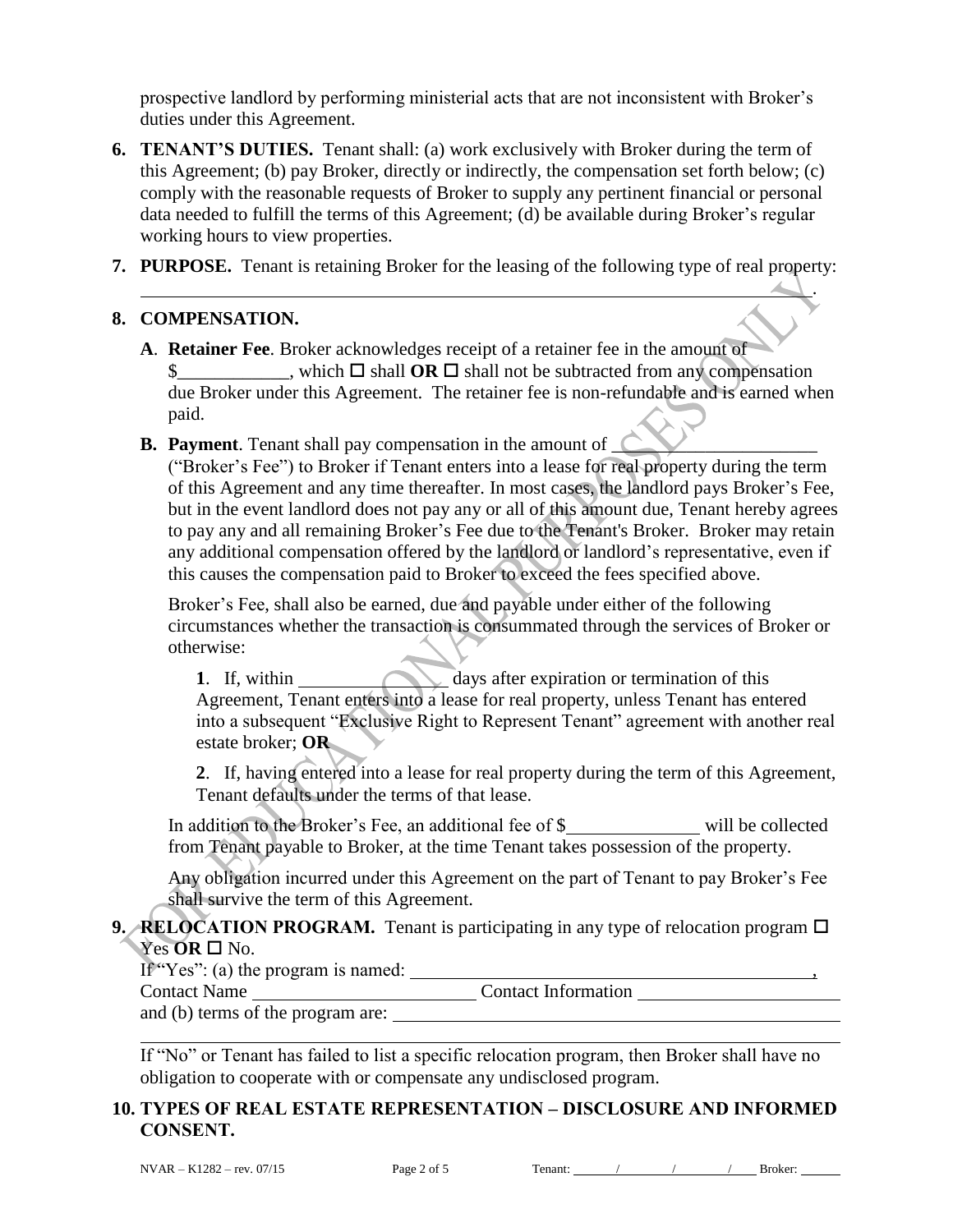prospective landlord by performing ministerial acts that are not inconsistent with Broker's duties under this Agreement.

- **6. TENANT'S DUTIES.** Tenant shall: (a) work exclusively with Broker during the term of this Agreement; (b) pay Broker, directly or indirectly, the compensation set forth below; (c) comply with the reasonable requests of Broker to supply any pertinent financial or personal data needed to fulfill the terms of this Agreement; (d) be available during Broker's regular working hours to view properties.
- **7. PURPOSE.** Tenant is retaining Broker for the leasing of the following type of real property:

#### **8. COMPENSATION.**

- **A**. **Retainer Fee**. Broker acknowledges receipt of a retainer fee in the amount of  $\frac{1}{2}$ , which  $\Box$  shall **OR**  $\Box$  shall not be subtracted from any compensation due Broker under this Agreement. The retainer fee is non-refundable and is earned when paid.
- **B. Payment**. Tenant shall pay compensation in the amount of  $\Box$

("Broker's Fee") to Broker if Tenant enters into a lease for real property during the term of this Agreement and any time thereafter. In most cases, the landlord pays Broker's Fee, but in the event landlord does not pay any or all of this amount due, Tenant hereby agrees to pay any and all remaining Broker's Fee due to the Tenant's Broker. Broker may retain any additional compensation offered by the landlord or landlord's representative, even if this causes the compensation paid to Broker to exceed the fees specified above.

Broker's Fee, shall also be earned, due and payable under either of the following circumstances whether the transaction is consummated through the services of Broker or otherwise:

**1**. If, within days after expiration or termination of this Agreement, Tenant enters into a lease for real property, unless Tenant has entered into a subsequent "Exclusive Right to Represent Tenant" agreement with another real estate broker; **OR**

**2**. If, having entered into a lease for real property during the term of this Agreement, Tenant defaults under the terms of that lease.

In addition to the Broker's Fee, an additional fee of \$ will be collected from Tenant payable to Broker, at the time Tenant takes possession of the property.

Any obligation incurred under this Agreement on the part of Tenant to pay Broker's Fee shall survive the term of this Agreement.

#### **9. RELOCATION PROGRAM.** Tenant is participating in any type of relocation program  $\Box$ Yes **OR** □ No.

If "Yes": (a) the program is named:  $\frac{1}{2}$ ,  $\frac{1}{2}$ ,  $\frac{1}{2}$ ,  $\frac{1}{2}$ ,  $\frac{1}{2}$ ,  $\frac{1}{2}$ ,  $\frac{1}{2}$ ,  $\frac{1}{2}$ ,  $\frac{1}{2}$ ,  $\frac{1}{2}$ ,  $\frac{1}{2}$ ,  $\frac{1}{2}$ ,  $\frac{1}{2}$ ,  $\frac{1}{2}$ ,  $\frac{1}{2}$ ,  $\frac{1}{2}$ ,  $\frac{1}{2}$ 

Contact Name \_\_\_\_\_\_\_\_\_\_\_\_\_\_\_\_\_\_\_\_\_\_\_\_\_\_\_\_\_\_\_\_\_Contact Information

and (b) terms of the program are:

If "No" or Tenant has failed to list a specific relocation program, then Broker shall have no obligation to cooperate with or compensate any undisclosed program.

## **10. TYPES OF REAL ESTATE REPRESENTATION – DISCLOSURE AND INFORMED CONSENT.**

.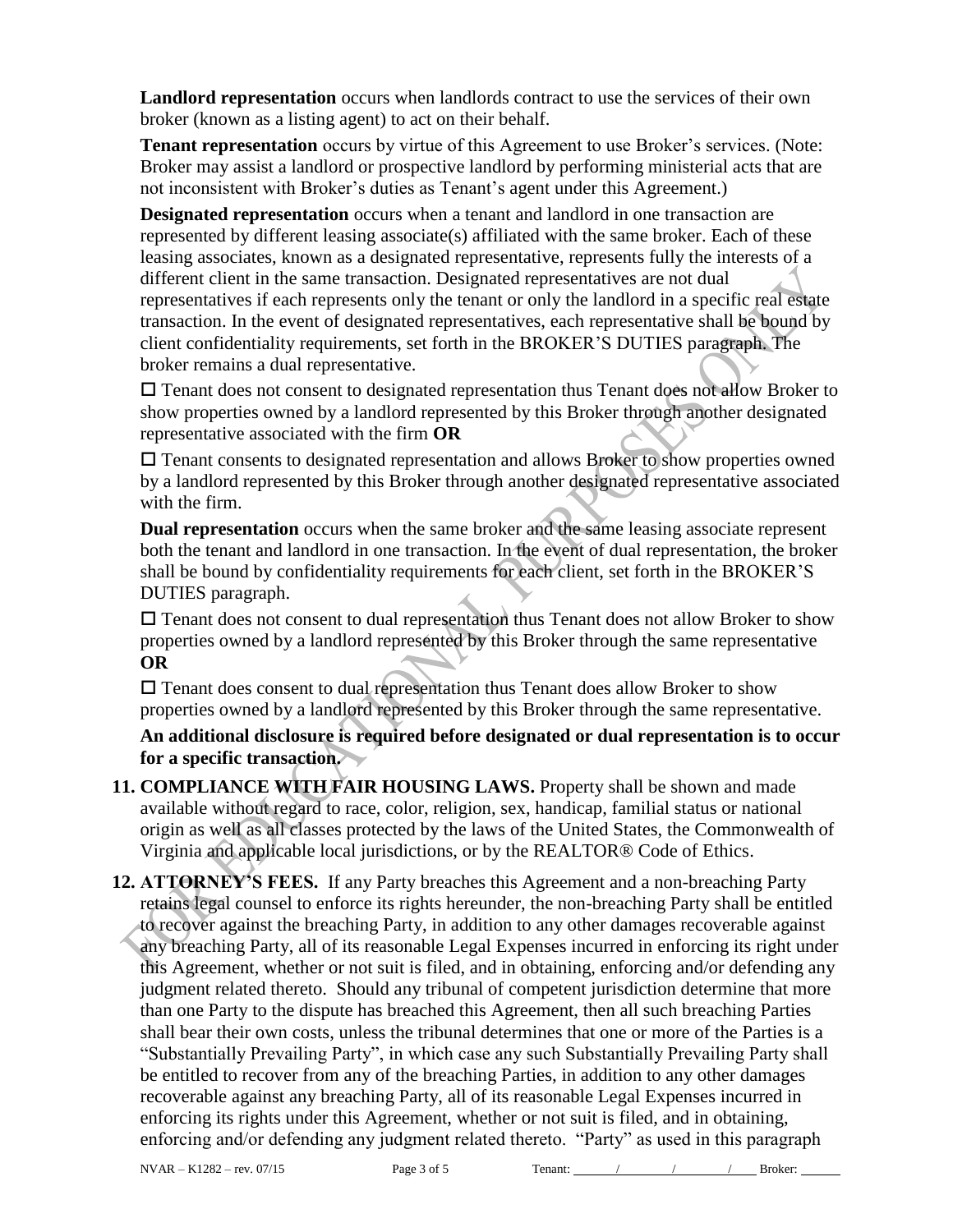**Landlord representation** occurs when landlords contract to use the services of their own broker (known as a listing agent) to act on their behalf.

**Tenant representation** occurs by virtue of this Agreement to use Broker's services. (Note: Broker may assist a landlord or prospective landlord by performing ministerial acts that are not inconsistent with Broker's duties as Tenant's agent under this Agreement.)

**Designated representation** occurs when a tenant and landlord in one transaction are represented by different leasing associate(s) affiliated with the same broker. Each of these leasing associates, known as a designated representative, represents fully the interests of a different client in the same transaction. Designated representatives are not dual representatives if each represents only the tenant or only the landlord in a specific real estate transaction. In the event of designated representatives, each representative shall be bound by client confidentiality requirements, set forth in the BROKER'S DUTIES paragraph. The broker remains a dual representative.

 Tenant does not consent to designated representation thus Tenant does not allow Broker to show properties owned by a landlord represented by this Broker through another designated representative associated with the firm **OR**

 Tenant consents to designated representation and allows Broker to show properties owned by a landlord represented by this Broker through another designated representative associated with the firm.

**Dual representation** occurs when the same broker and the same leasing associate represent both the tenant and landlord in one transaction. In the event of dual representation, the broker shall be bound by confidentiality requirements for each client, set forth in the BROKER'S DUTIES paragraph.

 Tenant does not consent to dual representation thus Tenant does not allow Broker to show properties owned by a landlord represented by this Broker through the same representative **OR**

 $\square$  Tenant does consent to dual representation thus Tenant does allow Broker to show properties owned by a landlord represented by this Broker through the same representative.

**An additional disclosure is required before designated or dual representation is to occur for a specific transaction.**

- **11. COMPLIANCE WITH FAIR HOUSING LAWS.** Property shall be shown and made available without regard to race, color, religion, sex, handicap, familial status or national origin as well as all classes protected by the laws of the United States, the Commonwealth of Virginia and applicable local jurisdictions, or by the REALTOR® Code of Ethics.
- **12. ATTORNEY'S FEES.** If any Party breaches this Agreement and a non-breaching Party retains legal counsel to enforce its rights hereunder, the non-breaching Party shall be entitled to recover against the breaching Party, in addition to any other damages recoverable against any breaching Party, all of its reasonable Legal Expenses incurred in enforcing its right under this Agreement, whether or not suit is filed, and in obtaining, enforcing and/or defending any judgment related thereto. Should any tribunal of competent jurisdiction determine that more than one Party to the dispute has breached this Agreement, then all such breaching Parties shall bear their own costs, unless the tribunal determines that one or more of the Parties is a "Substantially Prevailing Party", in which case any such Substantially Prevailing Party shall be entitled to recover from any of the breaching Parties, in addition to any other damages recoverable against any breaching Party, all of its reasonable Legal Expenses incurred in enforcing its rights under this Agreement, whether or not suit is filed, and in obtaining, enforcing and/or defending any judgment related thereto. "Party" as used in this paragraph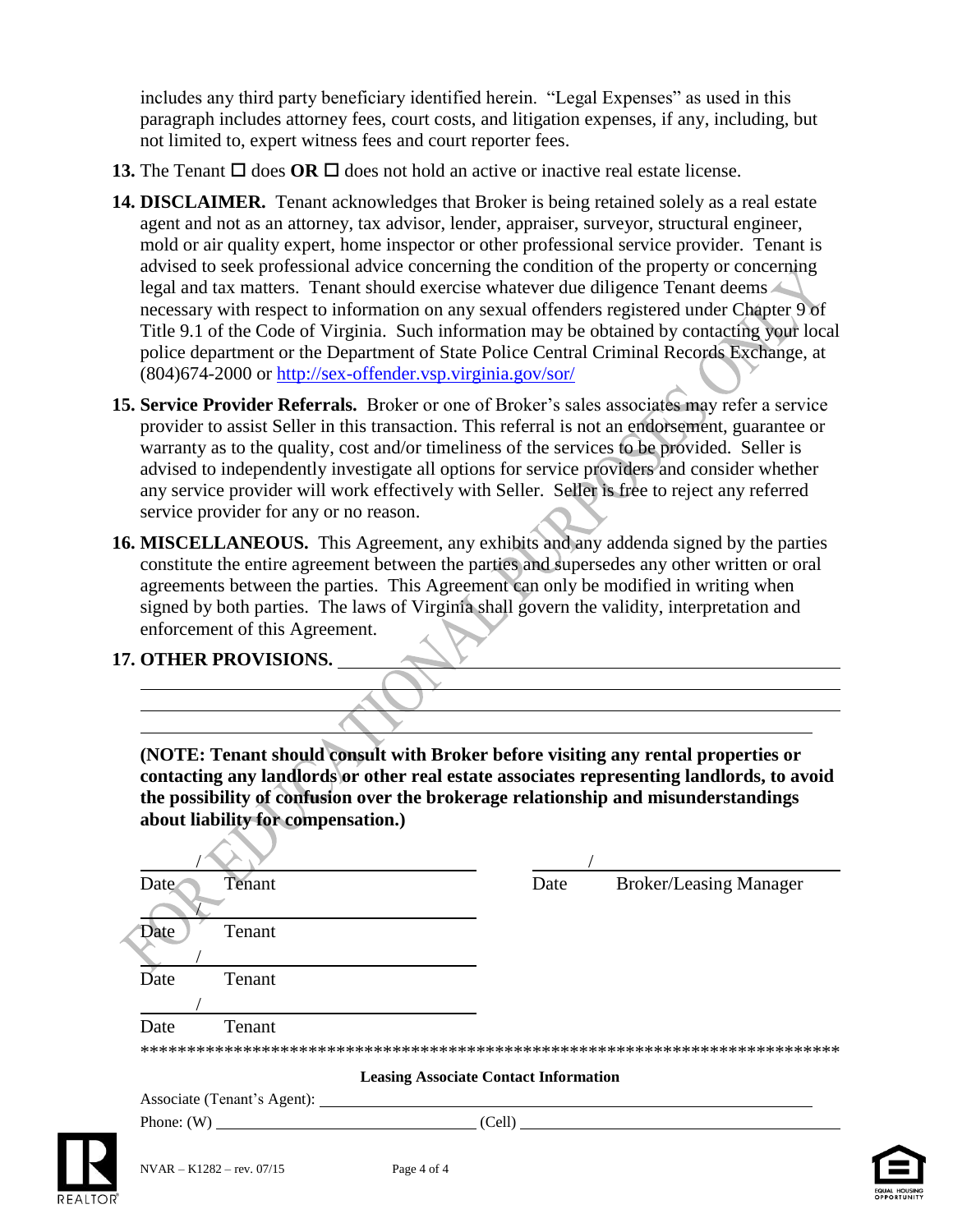includes any third party beneficiary identified herein. "Legal Expenses" as used in this paragraph includes attorney fees, court costs, and litigation expenses, if any, including, but not limited to, expert witness fees and court reporter fees.

- **13.** The Tenant  $\Box$  does **OR**  $\Box$  does not hold an active or inactive real estate license.
- **14. DISCLAIMER.** Tenant acknowledges that Broker is being retained solely as a real estate agent and not as an attorney, tax advisor, lender, appraiser, surveyor, structural engineer, mold or air quality expert, home inspector or other professional service provider. Tenant is advised to seek professional advice concerning the condition of the property or concerning legal and tax matters. Tenant should exercise whatever due diligence Tenant deems necessary with respect to information on any sexual offenders registered under Chapter 9 of Title 9.1 of the Code of Virginia. Such information may be obtained by contacting your local police department or the Department of State Police Central Criminal Records Exchange, at (804)674-2000 or<http://sex-offender.vsp.virginia.gov/sor/>
- **15. Service Provider Referrals.** Broker or one of Broker's sales associates may refer a service provider to assist Seller in this transaction. This referral is not an endorsement, guarantee or warranty as to the quality, cost and/or timeliness of the services to be provided. Seller is advised to independently investigate all options for service providers and consider whether any service provider will work effectively with Seller. Seller is free to reject any referred service provider for any or no reason.
- **16. MISCELLANEOUS.** This Agreement, any exhibits and any addenda signed by the parties constitute the entire agreement between the parties and supersedes any other written or oral agreements between the parties. This Agreement can only be modified in writing when signed by both parties. The laws of Virginia shall govern the validity, interpretation and enforcement of this Agreement.

# **17. OTHER PROVISIONS.**

**(NOTE: Tenant should consult with Broker before visiting any rental properties or contacting any landlords or other real estate associates representing landlords, to avoid the possibility of confusion over the brokerage relationship and misunderstandings about liability for compensation.)**

| Date                                         | <b>Broker/Leasing Manager</b> |
|----------------------------------------------|-------------------------------|
|                                              |                               |
|                                              |                               |
|                                              |                               |
|                                              |                               |
|                                              |                               |
|                                              |                               |
|                                              |                               |
| <b>Leasing Associate Contact Information</b> |                               |
| Associate (Tenant's Agent): 1986. (2012)     |                               |
|                                              | (Cell)                        |
|                                              |                               |



 $\mathcal{L}$